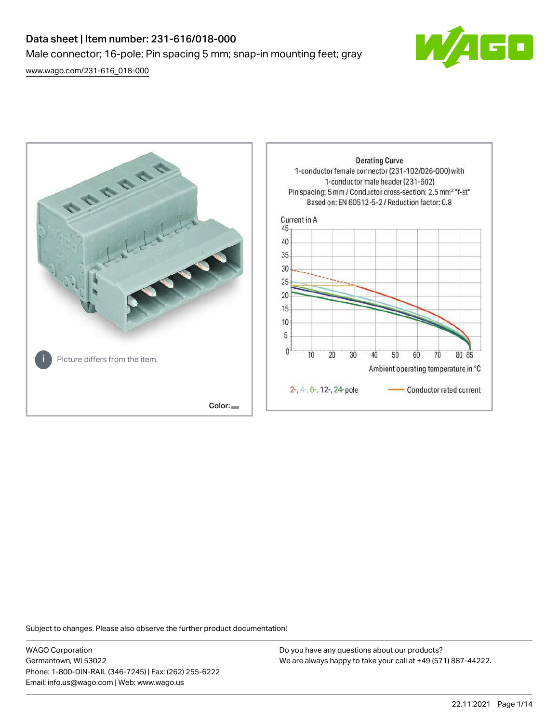# Data sheet | Item number: 231-616/018-000 Male connector; 16-pole; Pin spacing 5 mm; snap-in mounting feet; gray

[www.wago.com/231-616\\_018-000](http://www.wago.com/231-616_018-000)





Subject to changes. Please also observe the further product documentation!

WAGO Corporation Germantown, WI 53022 Phone: 1-800-DIN-RAIL (346-7245) | Fax: (262) 255-6222 Email: info.us@wago.com | Web: www.wago.us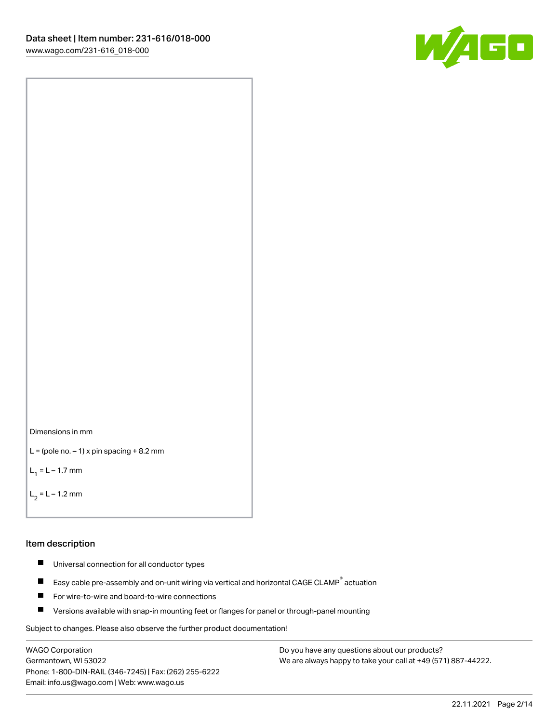



```
L = (pole no. -1) x pin spacing +8.2 mm
```
 $L_1 = L - 1.7$  mm

```
L_2 = L - 1.2 mm
```
#### Item description

- $\blacksquare$ Universal connection for all conductor types
- Easy cable pre-assembly and on-unit wiring via vertical and horizontal CAGE CLAMP<sup>®</sup> actuation  $\blacksquare$
- $\blacksquare$ For wire-to-wire and board-to-wire connections
- $\blacksquare$ Versions available with snap-in mounting feet or flanges for panel or through-panel mounting

Subject to changes. Please also observe the further product documentation!

WAGO Corporation Germantown, WI 53022 Phone: 1-800-DIN-RAIL (346-7245) | Fax: (262) 255-6222 Email: info.us@wago.com | Web: www.wago.us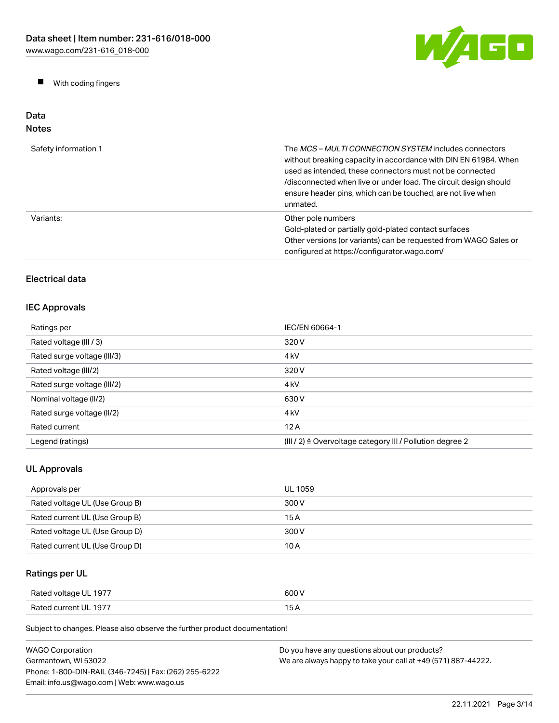W/AGO

 $\blacksquare$ With coding fingers

#### Data Notes

| Safety information 1 | The <i>MCS – MULTI CONNECTION SYSTEM</i> includes connectors<br>without breaking capacity in accordance with DIN EN 61984. When<br>used as intended, these connectors must not be connected<br>/disconnected when live or under load. The circuit design should<br>ensure header pins, which can be touched, are not live when<br>unmated. |
|----------------------|--------------------------------------------------------------------------------------------------------------------------------------------------------------------------------------------------------------------------------------------------------------------------------------------------------------------------------------------|
| Variants:            | Other pole numbers<br>Gold-plated or partially gold-plated contact surfaces<br>Other versions (or variants) can be requested from WAGO Sales or<br>configured at https://configurator.wago.com/                                                                                                                                            |

## Electrical data

## IEC Approvals

| Ratings per                 | IEC/EN 60664-1                                                       |
|-----------------------------|----------------------------------------------------------------------|
| Rated voltage (III / 3)     | 320 V                                                                |
| Rated surge voltage (III/3) | 4 <sub>kV</sub>                                                      |
| Rated voltage (III/2)       | 320 V                                                                |
| Rated surge voltage (III/2) | 4 <sub>k</sub> V                                                     |
| Nominal voltage (II/2)      | 630 V                                                                |
| Rated surge voltage (II/2)  | 4 <sub>k</sub> V                                                     |
| Rated current               | 12A                                                                  |
| Legend (ratings)            | (III / 2) $\triangleq$ Overvoltage category III / Pollution degree 2 |

## UL Approvals

| Approvals per                  | UL 1059 |
|--------------------------------|---------|
| Rated voltage UL (Use Group B) | 300 V   |
| Rated current UL (Use Group B) | 15 A    |
| Rated voltage UL (Use Group D) | 300 V   |
| Rated current UL (Use Group D) | 10 A    |

## Ratings per UL

| Rated voltage UL 1977 | 600 V |
|-----------------------|-------|
| Rated current UL 1977 | 15 A  |

Subject to changes. Please also observe the further product documentation!

| <b>WAGO Corporation</b>                                | Do you have any questions about our products?                 |
|--------------------------------------------------------|---------------------------------------------------------------|
| Germantown. WI 53022                                   | We are always happy to take your call at +49 (571) 887-44222. |
| Phone: 1-800-DIN-RAIL (346-7245)   Fax: (262) 255-6222 |                                                               |
| Email: info.us@wago.com   Web: www.wago.us             |                                                               |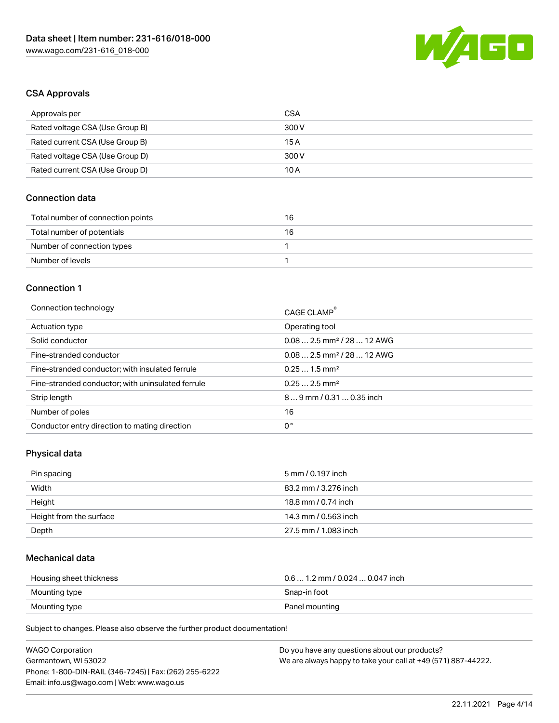

#### CSA Approvals

| Approvals per                   | CSA   |
|---------------------------------|-------|
| Rated voltage CSA (Use Group B) | 300 V |
| Rated current CSA (Use Group B) | 15 A  |
| Rated voltage CSA (Use Group D) | 300 V |
| Rated current CSA (Use Group D) | 10 A  |

#### Connection data

| Total number of connection points | 16 |
|-----------------------------------|----|
| Total number of potentials        | 16 |
| Number of connection types        |    |
| Number of levels                  |    |

#### Connection 1

| Connection technology                             | CAGE CLAMP®                            |
|---------------------------------------------------|----------------------------------------|
| Actuation type                                    | Operating tool                         |
| Solid conductor                                   | $0.082.5$ mm <sup>2</sup> / 28  12 AWG |
| Fine-stranded conductor                           | $0.082.5$ mm <sup>2</sup> / 28  12 AWG |
| Fine-stranded conductor; with insulated ferrule   | $0.251.5$ mm <sup>2</sup>              |
| Fine-stranded conductor; with uninsulated ferrule | $0.252.5$ mm <sup>2</sup>              |
| Strip length                                      | $89$ mm / 0.31  0.35 inch              |
| Number of poles                                   | 16                                     |
| Conductor entry direction to mating direction     | 0°                                     |

## Physical data

| Pin spacing             | 5 mm / 0.197 inch    |
|-------------------------|----------------------|
| Width                   | 83.2 mm / 3.276 inch |
| Height                  | 18.8 mm / 0.74 inch  |
| Height from the surface | 14.3 mm / 0.563 inch |
| Depth                   | 27.5 mm / 1.083 inch |

#### Mechanical data

| Housing sheet thickness | $0.6$ 1.2 mm / 0.024 $$ 0.047 inch |
|-------------------------|------------------------------------|
| Mounting type           | Snap-in foot                       |
| Mounting type           | Panel mounting                     |

Subject to changes. Please also observe the further product documentation!

| <b>WAGO Corporation</b>                                | Do you have any questions about our products?                 |
|--------------------------------------------------------|---------------------------------------------------------------|
| Germantown, WI 53022                                   | We are always happy to take your call at +49 (571) 887-44222. |
| Phone: 1-800-DIN-RAIL (346-7245)   Fax: (262) 255-6222 |                                                               |
| Email: info.us@wago.com   Web: www.wago.us             |                                                               |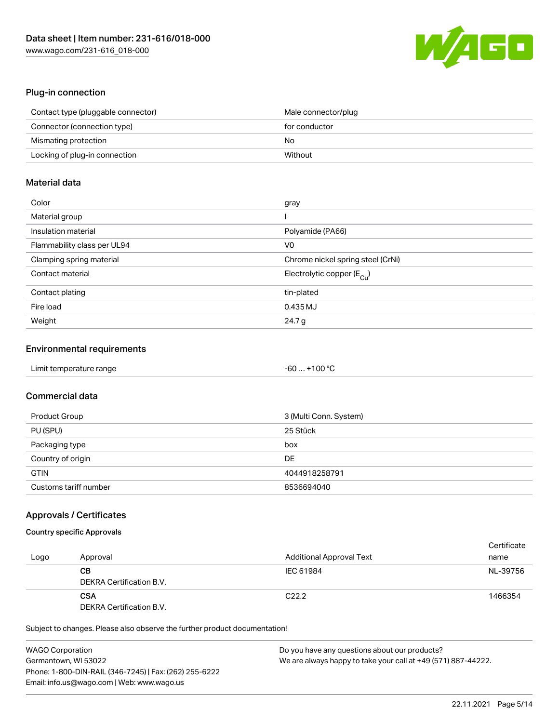

#### Plug-in connection

| Contact type (pluggable connector) | Male connector/plug |
|------------------------------------|---------------------|
| Connector (connection type)        | for conductor       |
| Mismating protection               | No                  |
| Locking of plug-in connection      | Without             |

#### Material data

| Color                       | gray                                  |
|-----------------------------|---------------------------------------|
| Material group              |                                       |
| Insulation material         | Polyamide (PA66)                      |
| Flammability class per UL94 | V0                                    |
| Clamping spring material    | Chrome nickel spring steel (CrNi)     |
| Contact material            | Electrolytic copper $(E_{\text{Cl}})$ |
| Contact plating             | tin-plated                            |
| Fire load                   | 0.435 MJ                              |
| Weight                      | 24.7 g                                |

#### Environmental requirements

| Limit temperature range | $-60+100 °C$ |  |
|-------------------------|--------------|--|
|-------------------------|--------------|--|

## Commercial data

| Product Group         | 3 (Multi Conn. System) |
|-----------------------|------------------------|
| PU (SPU)              | 25 Stück               |
| Packaging type        | box                    |
| Country of origin     | DE                     |
| <b>GTIN</b>           | 4044918258791          |
| Customs tariff number | 8536694040             |

#### Approvals / Certificates

#### Country specific Approvals

| Logo | Approval                               | <b>Additional Approval Text</b> | Certificate<br>name |
|------|----------------------------------------|---------------------------------|---------------------|
|      | CВ<br>DEKRA Certification B.V.         | IEC 61984                       | NL-39756            |
|      | <b>CSA</b><br>DEKRA Certification B.V. | C <sub>22.2</sub>               | 1466354             |

Subject to changes. Please also observe the further product documentation!

| <b>WAGO Corporation</b>                                | Do you have any questions about our products?                 |
|--------------------------------------------------------|---------------------------------------------------------------|
| Germantown, WI 53022                                   | We are always happy to take your call at +49 (571) 887-44222. |
| Phone: 1-800-DIN-RAIL (346-7245)   Fax: (262) 255-6222 |                                                               |
| Email: info.us@wago.com   Web: www.wago.us             |                                                               |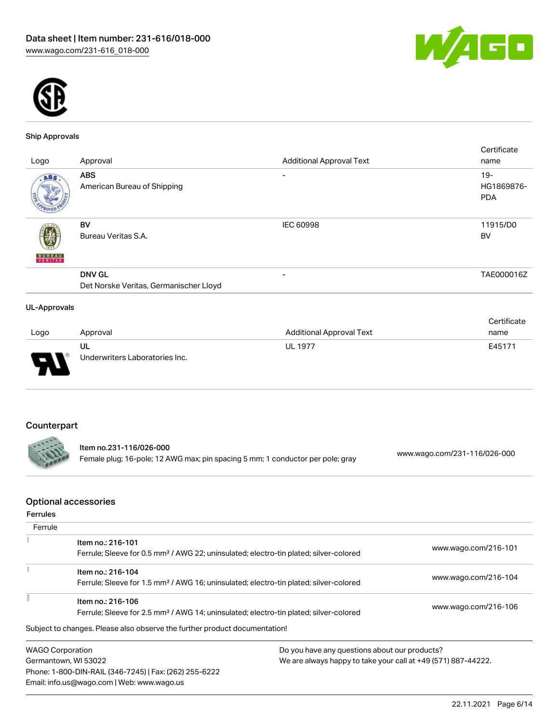



#### Ship Approvals

| Logo                | Approval                                                | <b>Additional Approval Text</b> | Certificate<br>name                |
|---------------------|---------------------------------------------------------|---------------------------------|------------------------------------|
| ABS.                | <b>ABS</b><br>American Bureau of Shipping               | $\overline{\phantom{0}}$        | $19 -$<br>HG1869876-<br><b>PDA</b> |
| <b>BUREAU</b>       | BV<br>Bureau Veritas S.A.                               | <b>IEC 60998</b>                | 11915/D0<br>BV                     |
|                     | <b>DNV GL</b><br>Det Norske Veritas, Germanischer Lloyd | $\overline{\phantom{0}}$        | TAE000016Z                         |
| <b>UL-Approvals</b> |                                                         |                                 |                                    |

|                          |                                |                          | Certificate |
|--------------------------|--------------------------------|--------------------------|-------------|
| Logo                     | Approval                       | Additional Approval Text | name        |
|                          | UL                             | <b>UL 1977</b>           | E45171      |
| $\overline{\phantom{0}}$ | Underwriters Laboratories Inc. |                          |             |

## Counterpart

--

Item no.231-116/026-000 Female plug; 16-pole; 12 AWG max; pin spacing 5 mm; 1 conductor per pole; gray [www.wago.com/231-116/026-000](https://www.wago.com/231-116/026-000)

#### Optional accessories

|  |  | Ferrules |  |
|--|--|----------|--|

| Ferrule |                                                                                                                                                                                 |                                                               |                      |
|---------|---------------------------------------------------------------------------------------------------------------------------------------------------------------------------------|---------------------------------------------------------------|----------------------|
|         | Item no.: 216-101<br>Ferrule; Sleeve for 0.5 mm <sup>2</sup> / AWG 22; uninsulated; electro-tin plated; silver-colored                                                          |                                                               | www.wago.com/216-101 |
|         | Item no.: 216-104                                                                                                                                                               |                                                               | www.wago.com/216-104 |
|         | Ferrule; Sleeve for 1.5 mm <sup>2</sup> / AWG 16; uninsulated; electro-tin plated; silver-colored<br>Item no.: 216-106                                                          |                                                               | www.wago.com/216-106 |
|         | Ferrule; Sleeve for 2.5 mm <sup>2</sup> / AWG 14; uninsulated; electro-tin plated; silver-colored<br>Subject to changes. Please also observe the further product documentation! |                                                               |                      |
|         | <b>WAGO Corporation</b>                                                                                                                                                         | Do you have any questions about our products?                 |                      |
|         | Germantown, WI 53022                                                                                                                                                            | We are always happy to take your call at +49 (571) 887-44222. |                      |

Germantown, WI 53022 Phone: 1-800-DIN-RAIL (346-7245) | Fax: (262) 255-6222 Email: info.us@wago.com | Web: www.wago.us

We are always happy to take your call at +49 (571) 887-44222.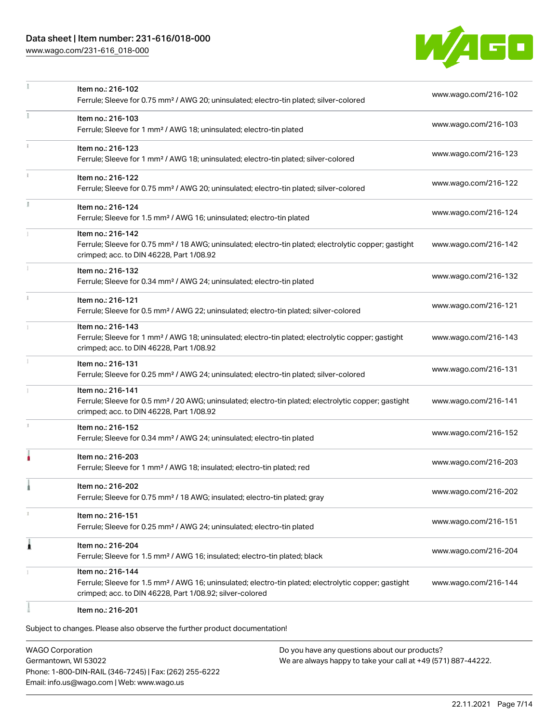## Data sheet | Item number: 231-616/018-000

[www.wago.com/231-616\\_018-000](http://www.wago.com/231-616_018-000)



|    | Item no.: 216-102<br>Ferrule; Sleeve for 0.75 mm <sup>2</sup> / AWG 20; uninsulated; electro-tin plated; silver-colored                                                                           | www.wago.com/216-102 |
|----|---------------------------------------------------------------------------------------------------------------------------------------------------------------------------------------------------|----------------------|
|    | Item no.: 216-103<br>Ferrule; Sleeve for 1 mm <sup>2</sup> / AWG 18; uninsulated; electro-tin plated                                                                                              | www.wago.com/216-103 |
|    | Item no.: 216-123<br>Ferrule; Sleeve for 1 mm <sup>2</sup> / AWG 18; uninsulated; electro-tin plated; silver-colored                                                                              | www.wago.com/216-123 |
|    | Item no.: 216-122<br>Ferrule; Sleeve for 0.75 mm <sup>2</sup> / AWG 20; uninsulated; electro-tin plated; silver-colored                                                                           | www.wago.com/216-122 |
| ă. | Item no.: 216-124<br>Ferrule; Sleeve for 1.5 mm <sup>2</sup> / AWG 16; uninsulated; electro-tin plated                                                                                            | www.wago.com/216-124 |
|    | Item no.: 216-142<br>Ferrule; Sleeve for 0.75 mm <sup>2</sup> / 18 AWG; uninsulated; electro-tin plated; electrolytic copper; gastight<br>crimped; acc. to DIN 46228, Part 1/08.92                | www.wago.com/216-142 |
|    | Item no.: 216-132<br>Ferrule; Sleeve for 0.34 mm <sup>2</sup> / AWG 24; uninsulated; electro-tin plated                                                                                           | www.wago.com/216-132 |
| ī. | Item no.: 216-121<br>Ferrule; Sleeve for 0.5 mm <sup>2</sup> / AWG 22; uninsulated; electro-tin plated; silver-colored                                                                            | www.wago.com/216-121 |
|    | Item no.: 216-143<br>Ferrule; Sleeve for 1 mm <sup>2</sup> / AWG 18; uninsulated; electro-tin plated; electrolytic copper; gastight<br>crimped; acc. to DIN 46228, Part 1/08.92                   | www.wago.com/216-143 |
|    | Item no.: 216-131<br>Ferrule; Sleeve for 0.25 mm <sup>2</sup> / AWG 24; uninsulated; electro-tin plated; silver-colored                                                                           | www.wago.com/216-131 |
|    | Item no.: 216-141<br>Ferrule; Sleeve for 0.5 mm <sup>2</sup> / 20 AWG; uninsulated; electro-tin plated; electrolytic copper; gastight<br>crimped; acc. to DIN 46228, Part 1/08.92                 | www.wago.com/216-141 |
|    | Item no.: 216-152<br>Ferrule; Sleeve for 0.34 mm <sup>2</sup> / AWG 24; uninsulated; electro-tin plated                                                                                           | www.wago.com/216-152 |
|    | Item no.: 216-203<br>Ferrule; Sleeve for 1 mm <sup>2</sup> / AWG 18; insulated; electro-tin plated; red                                                                                           | www.wago.com/216-203 |
|    | Item no.: 216-202<br>Ferrule; Sleeve for 0.75 mm <sup>2</sup> / 18 AWG; insulated; electro-tin plated; gray                                                                                       | www.wago.com/216-202 |
| T. | Item no.: 216-151<br>Ferrule; Sleeve for 0.25 mm <sup>2</sup> / AWG 24; uninsulated; electro-tin plated                                                                                           | www.wago.com/216-151 |
| 1  | Item no.: 216-204<br>Ferrule; Sleeve for 1.5 mm <sup>2</sup> / AWG 16; insulated; electro-tin plated; black                                                                                       | www.wago.com/216-204 |
|    | Item no.: 216-144<br>Ferrule; Sleeve for 1.5 mm <sup>2</sup> / AWG 16; uninsulated; electro-tin plated; electrolytic copper; gastight<br>crimped; acc. to DIN 46228, Part 1/08.92; silver-colored | www.wago.com/216-144 |
|    | Item no.: 216-201                                                                                                                                                                                 |                      |

Subject to changes. Please also observe the further product documentation!

WAGO Corporation Germantown, WI 53022 Phone: 1-800-DIN-RAIL (346-7245) | Fax: (262) 255-6222 Email: info.us@wago.com | Web: www.wago.us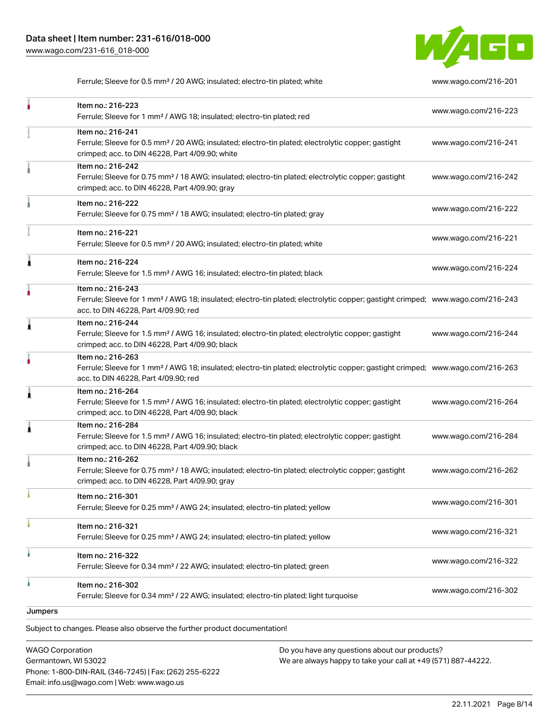

Ferrule; Sleeve for 0.5 mm² / 20 AWG; insulated; electro-tin plated; white [www.wago.com/216-201](http://www.wago.com/216-201)

|         | Item no.: 216-223                                                                                                                                                                                       | www.wago.com/216-223 |
|---------|---------------------------------------------------------------------------------------------------------------------------------------------------------------------------------------------------------|----------------------|
|         | Ferrule; Sleeve for 1 mm <sup>2</sup> / AWG 18; insulated; electro-tin plated; red                                                                                                                      |                      |
|         | Item no.: 216-241<br>Ferrule; Sleeve for 0.5 mm <sup>2</sup> / 20 AWG; insulated; electro-tin plated; electrolytic copper; gastight<br>crimped; acc. to DIN 46228, Part 4/09.90; white                  | www.wago.com/216-241 |
|         | Item no.: 216-242<br>Ferrule; Sleeve for 0.75 mm <sup>2</sup> / 18 AWG; insulated; electro-tin plated; electrolytic copper; gastight<br>crimped; acc. to DIN 46228, Part 4/09.90; gray                  | www.wago.com/216-242 |
|         | Item no.: 216-222<br>Ferrule; Sleeve for 0.75 mm <sup>2</sup> / 18 AWG; insulated; electro-tin plated; gray                                                                                             | www.wago.com/216-222 |
|         | Item no.: 216-221<br>Ferrule; Sleeve for 0.5 mm <sup>2</sup> / 20 AWG; insulated; electro-tin plated; white                                                                                             | www.wago.com/216-221 |
| 1       | Item no.: 216-224<br>Ferrule; Sleeve for 1.5 mm <sup>2</sup> / AWG 16; insulated; electro-tin plated; black                                                                                             | www.wago.com/216-224 |
|         | Item no.: 216-243<br>Ferrule; Sleeve for 1 mm <sup>2</sup> / AWG 18; insulated; electro-tin plated; electrolytic copper; gastight crimped; www.wago.com/216-243<br>acc. to DIN 46228, Part 4/09.90; red |                      |
| 1       | Item no.: 216-244<br>Ferrule; Sleeve for 1.5 mm <sup>2</sup> / AWG 16; insulated; electro-tin plated; electrolytic copper; gastight<br>crimped; acc. to DIN 46228, Part 4/09.90; black                  | www.wago.com/216-244 |
|         | Item no.: 216-263<br>Ferrule; Sleeve for 1 mm <sup>2</sup> / AWG 18; insulated; electro-tin plated; electrolytic copper; gastight crimped; www.wago.com/216-263<br>acc. to DIN 46228, Part 4/09.90; red |                      |
| Â       | Item no.: 216-264<br>Ferrule; Sleeve for 1.5 mm <sup>2</sup> / AWG 16; insulated; electro-tin plated; electrolytic copper; gastight<br>crimped; acc. to DIN 46228, Part 4/09.90; black                  | www.wago.com/216-264 |
| ٨       | Item no.: 216-284<br>Ferrule; Sleeve for 1.5 mm <sup>2</sup> / AWG 16; insulated; electro-tin plated; electrolytic copper; gastight<br>crimped; acc. to DIN 46228, Part 4/09.90; black                  | www.wago.com/216-284 |
|         | Item no.: 216-262<br>Ferrule; Sleeve for 0.75 mm <sup>2</sup> / 18 AWG; insulated; electro-tin plated; electrolytic copper; gastight<br>crimped; acc. to DIN 46228, Part 4/09.90; gray                  | www.wago.com/216-262 |
|         | Item no.: 216-301<br>Ferrule; Sleeve for 0.25 mm <sup>2</sup> / AWG 24; insulated; electro-tin plated; yellow                                                                                           | www.wago.com/216-301 |
|         | Item no.: 216-321<br>Ferrule; Sleeve for 0.25 mm <sup>2</sup> / AWG 24; insulated; electro-tin plated; yellow                                                                                           | www.wago.com/216-321 |
|         | Item no.: 216-322<br>Ferrule; Sleeve for 0.34 mm <sup>2</sup> / 22 AWG; insulated; electro-tin plated; green                                                                                            | www.wago.com/216-322 |
| ٨       | Item no.: 216-302<br>Ferrule; Sleeve for 0.34 mm <sup>2</sup> / 22 AWG; insulated; electro-tin plated; light turquoise                                                                                  | www.wago.com/216-302 |
| Jumpers |                                                                                                                                                                                                         |                      |

Subject to changes. Please also observe the further product documentation! Jumper

WAGO Corporation Germantown, WI 53022 Phone: 1-800-DIN-RAIL (346-7245) | Fax: (262) 255-6222 Email: info.us@wago.com | Web: www.wago.us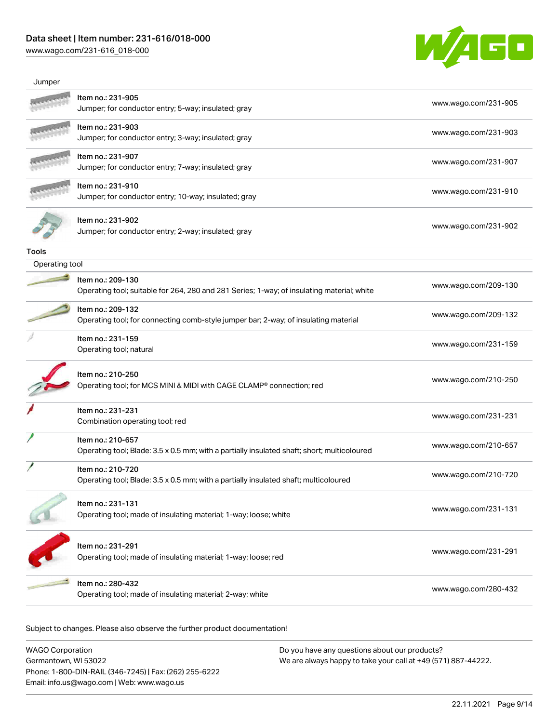### Data sheet | Item number: 231-616/018-000

[www.wago.com/231-616\\_018-000](http://www.wago.com/231-616_018-000)



| Jumper         |                                                                                                                  |                      |
|----------------|------------------------------------------------------------------------------------------------------------------|----------------------|
|                | Item no.: 231-905<br>Jumper; for conductor entry; 5-way; insulated; gray                                         | www.wago.com/231-905 |
|                | Item no.: 231-903<br>Jumper; for conductor entry; 3-way; insulated; gray                                         | www.wago.com/231-903 |
|                | Item no.: 231-907<br>Jumper; for conductor entry; 7-way; insulated; gray                                         | www.wago.com/231-907 |
|                | Item no.: 231-910<br>Jumper; for conductor entry; 10-way; insulated; gray                                        | www.wago.com/231-910 |
|                | Item no.: 231-902<br>Jumper; for conductor entry; 2-way; insulated; gray                                         | www.wago.com/231-902 |
| Tools          |                                                                                                                  |                      |
| Operating tool |                                                                                                                  |                      |
|                | Item no.: 209-130<br>Operating tool; suitable for 264, 280 and 281 Series; 1-way; of insulating material; white  | www.wago.com/209-130 |
|                | Item no.: 209-132<br>Operating tool; for connecting comb-style jumper bar; 2-way; of insulating material         | www.wago.com/209-132 |
|                | Item no.: 231-159<br>Operating tool; natural                                                                     | www.wago.com/231-159 |
|                | Item no.: 210-250<br>Operating tool; for MCS MINI & MIDI with CAGE CLAMP® connection; red                        | www.wago.com/210-250 |
|                | Item no.: 231-231<br>Combination operating tool; red                                                             | www.wago.com/231-231 |
|                | Item no.: 210-657<br>Operating tool; Blade: 3.5 x 0.5 mm; with a partially insulated shaft; short; multicoloured | www.wago.com/210-657 |
|                | Item no.: 210-720<br>Operating tool; Blade: 3.5 x 0.5 mm; with a partially insulated shaft; multicoloured        | www.wago.com/210-720 |
|                | Item no.: 231-131<br>Operating tool; made of insulating material; 1-way; loose; white                            | www.wago.com/231-131 |
|                | Item no.: 231-291<br>Operating tool; made of insulating material; 1-way; loose; red                              | www.wago.com/231-291 |
|                | Item no.: 280-432<br>Operating tool; made of insulating material; 2-way; white                                   | www.wago.com/280-432 |
|                |                                                                                                                  |                      |

Subject to changes. Please also observe the further product documentation!

WAGO Corporation Germantown, WI 53022 Phone: 1-800-DIN-RAIL (346-7245) | Fax: (262) 255-6222 Email: info.us@wago.com | Web: www.wago.us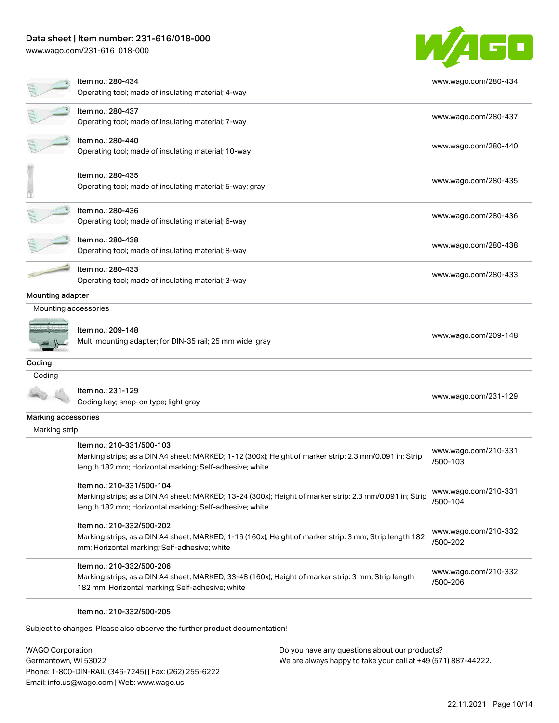### Data sheet | Item number: 231-616/018-000

[www.wago.com/231-616\\_018-000](http://www.wago.com/231-616_018-000)



|                      | Item no.: 280-434<br>Operating tool; made of insulating material; 4-way                                                                                                                         | www.wago.com/280-434             |
|----------------------|-------------------------------------------------------------------------------------------------------------------------------------------------------------------------------------------------|----------------------------------|
|                      | Item no.: 280-437<br>Operating tool; made of insulating material; 7-way                                                                                                                         | www.wago.com/280-437             |
|                      | Item no.: 280-440<br>Operating tool; made of insulating material; 10-way                                                                                                                        | www.wago.com/280-440             |
|                      | Item no.: 280-435<br>Operating tool; made of insulating material; 5-way; gray                                                                                                                   | www.wago.com/280-435             |
|                      | Item no.: 280-436<br>Operating tool; made of insulating material; 6-way                                                                                                                         | www.wago.com/280-436             |
|                      | Item no.: 280-438<br>Operating tool; made of insulating material; 8-way                                                                                                                         | www.wago.com/280-438             |
|                      | Item no.: 280-433<br>Operating tool; made of insulating material; 3-way                                                                                                                         | www.wago.com/280-433             |
| Mounting adapter     |                                                                                                                                                                                                 |                                  |
| Mounting accessories |                                                                                                                                                                                                 |                                  |
|                      | Item no.: 209-148<br>Multi mounting adapter; for DIN-35 rail; 25 mm wide; gray                                                                                                                  | www.wago.com/209-148             |
| Coding               |                                                                                                                                                                                                 |                                  |
| Coding               |                                                                                                                                                                                                 |                                  |
|                      | Item no.: 231-129<br>Coding key; snap-on type; light gray                                                                                                                                       | www.wago.com/231-129             |
| Marking accessories  |                                                                                                                                                                                                 |                                  |
| Marking strip        |                                                                                                                                                                                                 |                                  |
|                      | Item no.: 210-331/500-103<br>Marking strips; as a DIN A4 sheet; MARKED; 1-12 (300x); Height of marker strip: 2.3 mm/0.091 in; Strip<br>length 182 mm; Horizontal marking; Self-adhesive; white  | www.wago.com/210-331<br>/500-103 |
|                      | Item no.: 210-331/500-104<br>Marking strips; as a DIN A4 sheet; MARKED; 13-24 (300x); Height of marker strip: 2.3 mm/0.091 in; Strip<br>length 182 mm; Horizontal marking; Self-adhesive; white | www.wago.com/210-331<br>/500-104 |
|                      | Item no.: 210-332/500-202<br>Marking strips; as a DIN A4 sheet; MARKED; 1-16 (160x); Height of marker strip: 3 mm; Strip length 182<br>mm; Horizontal marking; Self-adhesive; white             | www.wago.com/210-332<br>/500-202 |
|                      | Item no.: 210-332/500-206<br>Marking strips; as a DIN A4 sheet; MARKED; 33-48 (160x); Height of marker strip: 3 mm; Strip length<br>182 mm; Horizontal marking; Self-adhesive; white            | www.wago.com/210-332<br>/500-206 |
|                      | Item no.: 210-332/500-205                                                                                                                                                                       |                                  |
|                      | Subject to changes. Please also observe the further product documentation!                                                                                                                      |                                  |

WAGO Corporation Germantown, WI 53022 Phone: 1-800-DIN-RAIL (346-7245) | Fax: (262) 255-6222 Email: info.us@wago.com | Web: www.wago.us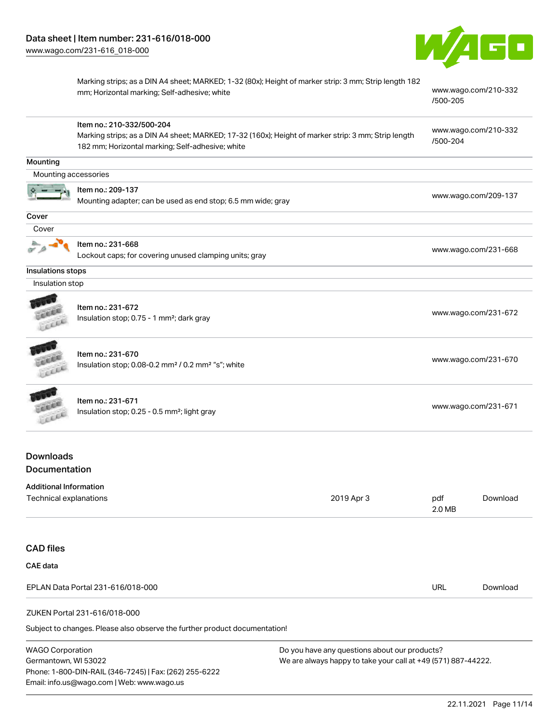

Marking strips; as a DIN A4 sheet; MARKED; 1-32 (80x); Height of marker strip: 3 mm; Strip length 182 mm; Horizontal marking; Self-adhesive; white [www.wago.com/210-332](http://www.wago.com/210-332/500-205)

[/500-205](http://www.wago.com/210-332/500-205)

|                               | Item no.: 210-332/500-204                                                                           |            |                                  |                      |  |
|-------------------------------|-----------------------------------------------------------------------------------------------------|------------|----------------------------------|----------------------|--|
|                               | Marking strips; as a DIN A4 sheet; MARKED; 17-32 (160x); Height of marker strip: 3 mm; Strip length |            | www.wago.com/210-332<br>/500-204 |                      |  |
|                               | 182 mm; Horizontal marking; Self-adhesive; white                                                    |            |                                  |                      |  |
| Mounting                      |                                                                                                     |            |                                  |                      |  |
| Mounting accessories          |                                                                                                     |            |                                  |                      |  |
|                               | Item no.: 209-137                                                                                   |            |                                  |                      |  |
|                               | Mounting adapter; can be used as end stop; 6.5 mm wide; gray                                        |            |                                  | www.wago.com/209-137 |  |
| Cover                         |                                                                                                     |            |                                  |                      |  |
| Cover                         |                                                                                                     |            |                                  |                      |  |
|                               | Item no.: 231-668                                                                                   |            |                                  |                      |  |
|                               | Lockout caps; for covering unused clamping units; gray                                              |            | www.wago.com/231-668             |                      |  |
| Insulations stops             |                                                                                                     |            |                                  |                      |  |
| Insulation stop               |                                                                                                     |            |                                  |                      |  |
|                               |                                                                                                     |            |                                  |                      |  |
|                               | Item no.: 231-672                                                                                   |            |                                  | www.wago.com/231-672 |  |
|                               | Insulation stop; 0.75 - 1 mm <sup>2</sup> ; dark gray                                               |            |                                  |                      |  |
|                               |                                                                                                     |            |                                  |                      |  |
|                               | Item no.: 231-670                                                                                   |            |                                  | www.wago.com/231-670 |  |
|                               | Insulation stop; 0.08-0.2 mm <sup>2</sup> / 0.2 mm <sup>2</sup> "s"; white                          |            |                                  |                      |  |
|                               |                                                                                                     |            |                                  |                      |  |
|                               | Item no.: 231-671<br>Insulation stop; 0.25 - 0.5 mm <sup>2</sup> ; light gray                       |            |                                  | www.wago.com/231-671 |  |
|                               |                                                                                                     |            |                                  |                      |  |
|                               |                                                                                                     |            |                                  |                      |  |
| <b>Downloads</b>              |                                                                                                     |            |                                  |                      |  |
| <b>Documentation</b>          |                                                                                                     |            |                                  |                      |  |
| <b>Additional Information</b> |                                                                                                     |            |                                  |                      |  |
| Technical explanations        |                                                                                                     | 2019 Apr 3 | pdf                              | Download             |  |
|                               |                                                                                                     |            | 2.0 MB                           |                      |  |

CAD files

| UAD IIIGS                                                                  |     |          |
|----------------------------------------------------------------------------|-----|----------|
| CAE data                                                                   |     |          |
| EPLAN Data Portal 231-616/018-000                                          | URL | Download |
| ZUKEN Portal 231-616/018-000                                               |     |          |
| Subject to changes. Please also observe the further product documentation! |     |          |

 $\mathfrak p$ ject to changes. Please also observe the further product docu

WAGO Corporation Germantown, WI 53022 Phone: 1-800-DIN-RAIL (346-7245) | Fax: (262) 255-6222 Email: info.us@wago.com | Web: www.wago.us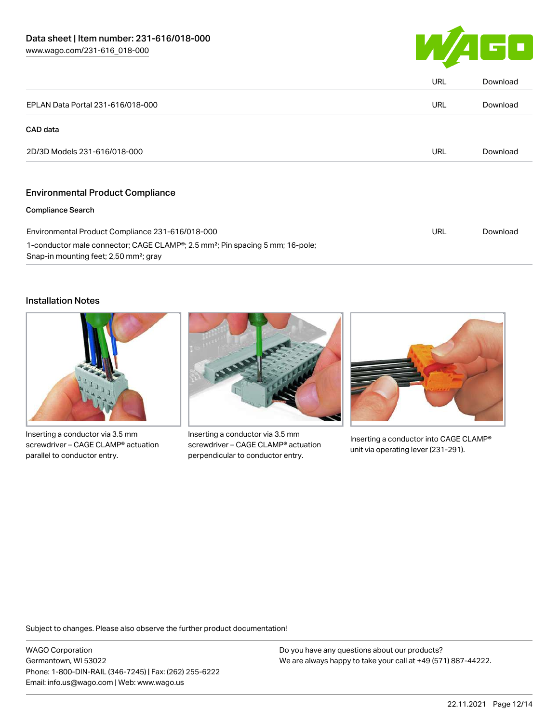![](_page_11_Picture_1.jpeg)

|                                                                                                                                                 | URL | Download |
|-------------------------------------------------------------------------------------------------------------------------------------------------|-----|----------|
| EPLAN Data Portal 231-616/018-000                                                                                                               | URL | Download |
| CAD data                                                                                                                                        |     |          |
| 2D/3D Models 231-616/018-000                                                                                                                    | URL | Download |
|                                                                                                                                                 |     |          |
| <b>Environmental Product Compliance</b>                                                                                                         |     |          |
| <b>Compliance Search</b>                                                                                                                        |     |          |
| Environmental Product Compliance 231-616/018-000                                                                                                | URL | Download |
| 1-conductor male connector; CAGE CLAMP®; 2.5 mm <sup>2</sup> ; Pin spacing 5 mm; 16-pole;<br>Snap-in mounting feet; 2,50 mm <sup>2</sup> ; gray |     |          |

#### Installation Notes

![](_page_11_Picture_4.jpeg)

Inserting a conductor via 3.5 mm screwdriver – CAGE CLAMP® actuation parallel to conductor entry.

![](_page_11_Picture_6.jpeg)

Inserting a conductor via 3.5 mm screwdriver – CAGE CLAMP® actuation perpendicular to conductor entry.

![](_page_11_Picture_8.jpeg)

Inserting a conductor into CAGE CLAMP® unit via operating lever (231-291).

Subject to changes. Please also observe the further product documentation!

WAGO Corporation Germantown, WI 53022 Phone: 1-800-DIN-RAIL (346-7245) | Fax: (262) 255-6222 Email: info.us@wago.com | Web: www.wago.us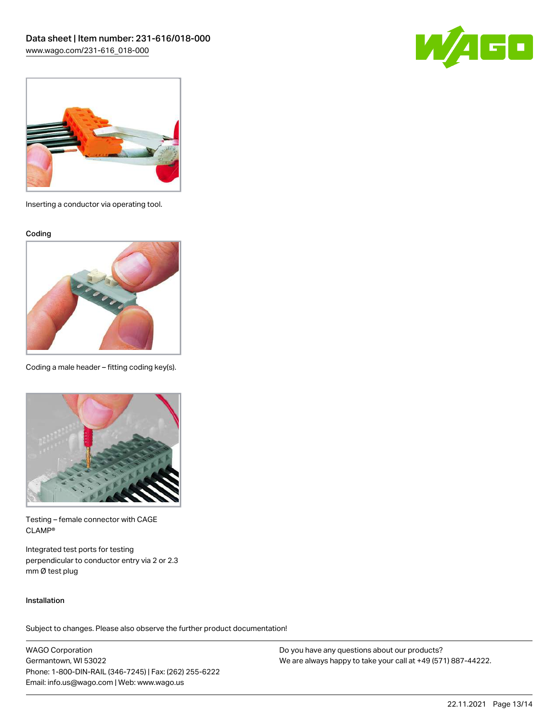![](_page_12_Picture_1.jpeg)

![](_page_12_Picture_2.jpeg)

Inserting a conductor via operating tool.

Coding

![](_page_12_Picture_5.jpeg)

Coding a male header – fitting coding key(s).

![](_page_12_Picture_7.jpeg)

Testing – female connector with CAGE CLAMP®

Integrated test ports for testing perpendicular to conductor entry via 2 or 2.3 mm Ø test plug

#### Installation

Subject to changes. Please also observe the further product documentation!

WAGO Corporation Germantown, WI 53022 Phone: 1-800-DIN-RAIL (346-7245) | Fax: (262) 255-6222 Email: info.us@wago.com | Web: www.wago.us